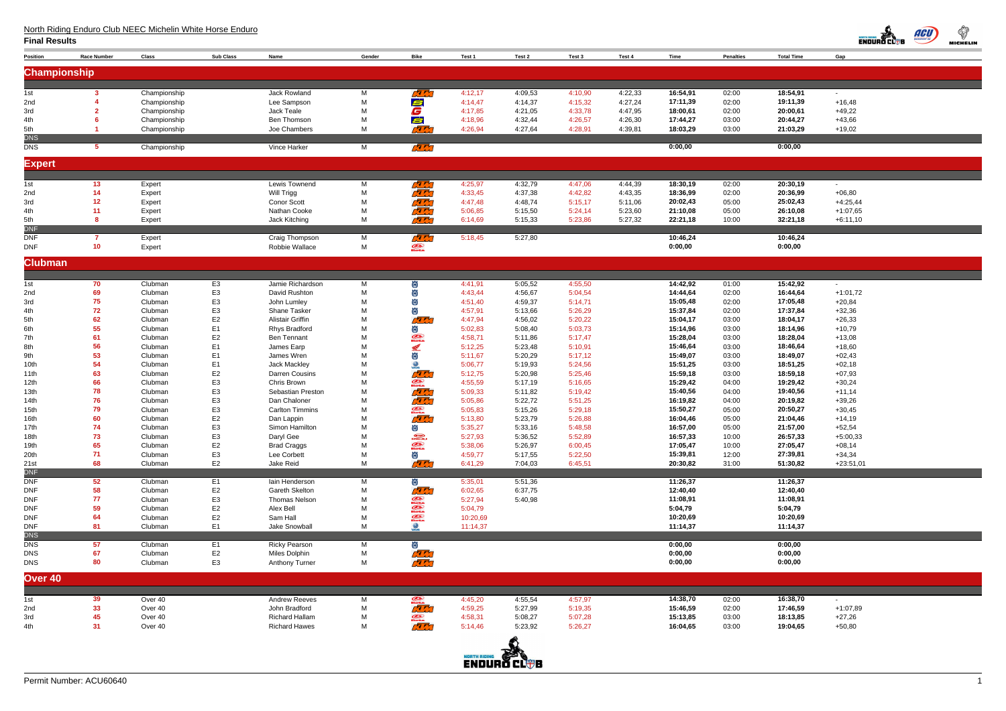# North Riding Enduro Club NEEC Michelin White Horse Enduro

| <b>Position</b>          | <b>Race Number</b>    | Class              | <b>Sub Class</b>                 | Name                                           | Gender | Bike                                                                                                                                                                                                                                                                                                                                                                                                                 | Test 1                                         | Test 2             | Test 3             | Test 4  | Time                 | <b>Penalties</b> | <b>Total Time</b>    | Gap                  |
|--------------------------|-----------------------|--------------------|----------------------------------|------------------------------------------------|--------|----------------------------------------------------------------------------------------------------------------------------------------------------------------------------------------------------------------------------------------------------------------------------------------------------------------------------------------------------------------------------------------------------------------------|------------------------------------------------|--------------------|--------------------|---------|----------------------|------------------|----------------------|----------------------|
|                          |                       |                    |                                  |                                                |        |                                                                                                                                                                                                                                                                                                                                                                                                                      |                                                |                    |                    |         |                      |                  |                      |                      |
| <b>Championship</b>      |                       |                    |                                  |                                                |        |                                                                                                                                                                                                                                                                                                                                                                                                                      |                                                |                    |                    |         |                      |                  |                      |                      |
| 1st                      | -3                    | Championship       |                                  | Jack Rowland                                   | M      | <b>REAL</b>                                                                                                                                                                                                                                                                                                                                                                                                          | 4:12,17                                        | 4:09,53            | 4:10,90            | 4:22,33 | 16:54,91             | 02:00            | 18:54,91             | $\blacksquare$       |
| 2nd                      |                       | Championship       |                                  | Lee Sampson                                    | M      | Ś                                                                                                                                                                                                                                                                                                                                                                                                                    | 4:14,47                                        | 4:14,37            | 4:15,32            | 4:27,24 | 17:11,39             | 02:00            | 19:11,39             | $+16,48$             |
| 3rd                      |                       | Championship       |                                  | Jack Teale                                     | M      | G                                                                                                                                                                                                                                                                                                                                                                                                                    | 4:17,85                                        | 4:21,05            | 4:33,78            | 4:47,95 | 18:00,61             | 02:00            | 20:00,61             | $+49,22$             |
| 4th                      |                       | Championship       |                                  | Ben Thomson                                    | M      | Ś                                                                                                                                                                                                                                                                                                                                                                                                                    | 4:18,96                                        | 4:32,44            | 4:26,57            | 4:26,30 | 17:44,27             | 03:00            | 20:44,27             | $+43,66$             |
| 5th                      |                       | Championship       |                                  | Joe Chambers                                   | M      | <b>RE</b>                                                                                                                                                                                                                                                                                                                                                                                                            | 4:26,94                                        | 4:27,64            | 4:28,91            | 4:39,81 | 18:03,29             | 03:00            | 21:03,29             | $+19,02$             |
| <b>DNS</b>               |                       |                    |                                  |                                                |        |                                                                                                                                                                                                                                                                                                                                                                                                                      |                                                |                    |                    |         |                      |                  |                      |                      |
| <b>DNS</b>               | -5                    | Championship       |                                  | Vince Harker                                   | M      | ra da                                                                                                                                                                                                                                                                                                                                                                                                                |                                                |                    |                    |         | 0:00,00              |                  | 0:00,00              |                      |
| <b>Expert</b>            |                       |                    |                                  |                                                |        |                                                                                                                                                                                                                                                                                                                                                                                                                      |                                                |                    |                    |         |                      |                  |                      |                      |
|                          |                       |                    |                                  |                                                |        |                                                                                                                                                                                                                                                                                                                                                                                                                      |                                                |                    |                    |         |                      |                  |                      |                      |
| 1st                      | 13                    | Expert             |                                  | Lewis Townend                                  | M      | <b>RE</b>                                                                                                                                                                                                                                                                                                                                                                                                            | 4:25,97                                        | 4:32,79            | 4:47,06            | 4:44,39 | 18:30,19             | 02:00            | 20:30,19             | $\blacksquare$       |
| 2nd                      | 14                    | Expert             |                                  | Will Trigg                                     | M      | ra m                                                                                                                                                                                                                                                                                                                                                                                                                 | 4:33,45                                        | 4:37,38            | 4:42,82            | 4:43,35 | 18:36,99             | 02:00            | 20:36,99             | $+06,80$             |
| 3rd                      | 12                    | Expert             |                                  | <b>Conor Scott</b>                             | M      | <b>RR</b>                                                                                                                                                                                                                                                                                                                                                                                                            | 4:47,48                                        | 4:48,74            | 5:15,17            | 5:11,06 | 20:02,43             | 05:00            | 25:02,43             | $+4:25,44$           |
| 4th                      | 11                    | Expert             |                                  | Nathan Cooke                                   | M      | ra m                                                                                                                                                                                                                                                                                                                                                                                                                 | 5:06,85                                        | 5:15,50            | 5:24,14            | 5:23,60 | 21:10,08             | 05:00            | 26:10,08             | $+1:07,65$           |
| 5th                      | 8                     | Expert             |                                  | Jack Kitching                                  | M      | ra m                                                                                                                                                                                                                                                                                                                                                                                                                 | 6:14,69                                        | 5:15,33            | 5:23,86            | 5:27,32 | 22:21,18             | 10:00            | 32:21,18             | $+6:11,10$           |
| <b>DNF</b>               |                       |                    |                                  |                                                |        |                                                                                                                                                                                                                                                                                                                                                                                                                      |                                                |                    |                    |         |                      |                  |                      |                      |
| <b>DNF</b><br><b>DNF</b> | -7<br>10 <sub>1</sub> | Expert<br>Expert   |                                  | Craig Thompson<br>Robbie Wallace               | M<br>M | ra m<br>$\mathcal{D}$                                                                                                                                                                                                                                                                                                                                                                                                | 5:18,45                                        | 5:27,80            |                    |         | 10:46,24<br>0:00,00  |                  | 10:46,24<br>0:00,00  |                      |
|                          |                       |                    |                                  |                                                |        |                                                                                                                                                                                                                                                                                                                                                                                                                      |                                                |                    |                    |         |                      |                  |                      |                      |
| <b>Clubman</b>           |                       |                    |                                  |                                                |        |                                                                                                                                                                                                                                                                                                                                                                                                                      |                                                |                    |                    |         |                      |                  |                      |                      |
|                          |                       |                    |                                  |                                                |        |                                                                                                                                                                                                                                                                                                                                                                                                                      |                                                |                    |                    |         |                      |                  |                      |                      |
| 1st                      | 70                    | Clubman            | E <sub>3</sub>                   | Jamie Richardson                               | M      | 偤                                                                                                                                                                                                                                                                                                                                                                                                                    | 4:41,91                                        | 5:05,52            | 4:55,50            |         | 14:42,92             | 01:00            | 15:42,92             | $\sim$               |
| 2nd                      | 69                    | Clubman            | E <sub>3</sub>                   | David Rushton                                  | M      | 傡                                                                                                                                                                                                                                                                                                                                                                                                                    | 4:43,44                                        | 4:56,67            | 5:04,54            |         | 14:44,64             | 02:00            | 16:44,64             | $+1:01,72$           |
| 3rd                      | 75                    | Clubman            | E <sub>3</sub>                   | John Lumley                                    | M      | 尚                                                                                                                                                                                                                                                                                                                                                                                                                    | 4:51,40                                        | 4:59,37            | 5:14,71            |         | 15:05,48             | 02:00            | 17:05,48             | $+20,84$             |
| 4th<br>5th               | 72<br>62              | Clubman<br>Clubman | E <sub>3</sub><br>E <sub>2</sub> | <b>Shane Tasker</b><br><b>Alistair Griffin</b> | M<br>M | ä<br>$\sqrt{7}$                                                                                                                                                                                                                                                                                                                                                                                                      | 4:57,91<br>4:47,94                             | 5:13,66<br>4:56,02 | 5:26,29<br>5:20,22 |         | 15:37,84<br>15:04,17 | 02:00<br>03:00   | 17:37,84<br>18:04,17 | $+32,36$<br>$+26,33$ |
| 6th                      | 55                    | Clubman            | E <sub>1</sub>                   | <b>Rhys Bradford</b>                           | M      | 尚                                                                                                                                                                                                                                                                                                                                                                                                                    | 5:02,83                                        | 5:08,40            | 5:03,73            |         | 15:14,96             | 03:00            | 18:14,96             | $+10,79$             |
| 7th                      | 61                    | Clubman            | E <sub>2</sub>                   | <b>Ben Tennant</b>                             | M      | $\mathcal{Z}$                                                                                                                                                                                                                                                                                                                                                                                                        | 4:58,71                                        | 5:11,86            | 5:17,47            |         | 15:28,04             | 03:00            | 18:28,04             | $+13,08$             |
| 8th                      | 56                    | Clubman            | E <sub>1</sub>                   | James Earp                                     | M      | <b>Report</b>                                                                                                                                                                                                                                                                                                                                                                                                        | 5:12,25                                        | 5:23,48            | 5:10,91            |         | 15:46,64             | 03:00            | 18:46,64             | $+18,60$             |
| 9th                      | 53                    | Clubman            | E <sub>1</sub>                   | James Wren                                     | M      | 尚                                                                                                                                                                                                                                                                                                                                                                                                                    | 5:11,67                                        | 5:20,29            | 5:17,12            |         | 15:49,07             | 03:00            | 18:49,07             | $+02,43$             |
| 10th                     | 54                    | Clubman            | E <sub>1</sub>                   | Jack Mackley                                   | M      | $\bigcirc$                                                                                                                                                                                                                                                                                                                                                                                                           | 5:06,77                                        | 5:19,93            | 5:24,56            |         | 15:51,25             | 03:00            | 18:51,25             | $+02,18$             |
| 11th                     | 63                    | Clubman            | E <sub>2</sub>                   | <b>Darren Cousins</b>                          | M      | <u>rar</u>                                                                                                                                                                                                                                                                                                                                                                                                           | 5:12,75                                        | 5:20,98            | 5:25,46            |         | 15:59,18             | 03:00            | 18:59,18             | $+07,93$             |
| 12th                     | 66                    | Clubman            | E <sub>3</sub>                   | Chris Brown                                    | M      | $\mathcal{D}$                                                                                                                                                                                                                                                                                                                                                                                                        | 4:55,59                                        | 5:17,19            | 5:16,65            |         | 15:29,42             | 04:00            | 19:29,42             | $+30,24$             |
| 13th                     | 78                    | Clubman            | E <sub>3</sub>                   | Sebastian Preston                              | M      | <b>RE</b>                                                                                                                                                                                                                                                                                                                                                                                                            | 5:09,33                                        | 5:11,82            | 5:19,42            |         | 15:40,56             | 04:00            | 19:40,56             | $+11,14$             |
| 14th<br>15th             | 76<br>79              | Clubman<br>Clubman | E <sub>3</sub><br>E <sub>3</sub> | Dan Chaloner<br><b>Carlton Timmins</b>         | M<br>M | $\tau$                                                                                                                                                                                                                                                                                                                                                                                                               | 5:05,86<br>5:05,83                             | 5:22,72<br>5:15,26 | 5:51,25<br>5:29,18 |         | 16:19,82<br>15:50,27 | 04:00<br>05:00   | 20:19,82<br>20:50,27 | $+39,26$<br>$+30,45$ |
| 16th                     | 60                    | Clubman            | E <sub>2</sub>                   | Dan Lappin                                     | M      | $\mathcal{D}$<br><b>RE</b>                                                                                                                                                                                                                                                                                                                                                                                           | 5:13,80                                        | 5:23,79            | 5:26,88            |         | 16:04,46             | 05:00            | 21:04,46             | $+14,19$             |
| 17th                     | 74                    | Clubman            | E <sub>3</sub>                   | Simon Hamilton                                 | M      | ö                                                                                                                                                                                                                                                                                                                                                                                                                    | 5:35,27                                        | 5:33,16            | 5:48,58            |         | 16:57,00             | 05:00            | 21:57,00             | $+52,54$             |
| 18th                     | 73                    | Clubman            | E <sub>3</sub>                   | Daryl Gee                                      | M      | $\bigoplus_{\mathbf{R} \in \mathbf{R}}$                                                                                                                                                                                                                                                                                                                                                                              | 5:27,93                                        | 5:36,52            | 5:52,89            |         | 16:57,33             | 10:00            | 26:57,33             | $+5:00,33$           |
| 19th                     | 65                    | Clubman            | E <sub>2</sub>                   | <b>Brad Craggs</b>                             | M      | $\mathcal{Q}$                                                                                                                                                                                                                                                                                                                                                                                                        | 5:38,06                                        | 5:26,97            | 6:00,45            |         | 17:05,47             | 10:00            | 27:05,47             | $+08,14$             |
| 20th                     | 71                    | Clubman            | E <sub>3</sub>                   | Lee Corbett                                    | M      | ö                                                                                                                                                                                                                                                                                                                                                                                                                    | 4:59,77                                        | 5:17,55            | 5:22,50            |         | 15:39,81             | 12:00            | 27:39,81             | $+34,34$             |
| 21st                     | 68                    | Clubman            | E <sub>2</sub>                   | Jake Reid                                      | M      | <b>REAL</b>                                                                                                                                                                                                                                                                                                                                                                                                          | 6:41,29                                        | 7:04,03            | 6:45,51            |         | 20:30,82             | 31:00            | 51:30,82             | $+23:51,01$          |
| <b>DNF</b>               |                       |                    |                                  |                                                |        |                                                                                                                                                                                                                                                                                                                                                                                                                      |                                                |                    |                    |         |                      |                  |                      |                      |
| <b>DNF</b><br><b>DNF</b> | 52<br>58              | Clubman<br>Clubman | E <sub>1</sub><br>E <sub>2</sub> | lain Henderson<br>Gareth Skelton               | M<br>M | Ö<br><b>RE</b>                                                                                                                                                                                                                                                                                                                                                                                                       | 5:35,01<br>6:02,65                             | 5:51,36<br>6:37,75 |                    |         | 11:26,37<br>12:40,40 |                  | 11:26,37<br>12:40,40 |                      |
| <b>DNF</b>               | 77                    | Clubman            | E <sub>3</sub>                   | <b>Thomas Nelson</b>                           | M      |                                                                                                                                                                                                                                                                                                                                                                                                                      | 5:27,94                                        | 5:40,98            |                    |         | 11:08,91             |                  | 11:08,91             |                      |
| <b>DNF</b>               | 59                    | Clubman            | E <sub>2</sub>                   | Alex Bell                                      | M      | <b>Outs</b><br>Chats<br>Bets                                                                                                                                                                                                                                                                                                                                                                                         | 5:04,79                                        |                    |                    |         | 5:04,79              |                  | 5:04,79              |                      |
| <b>DNF</b>               | 64                    | Clubman            | E <sub>2</sub>                   | Sam Hall                                       | M      |                                                                                                                                                                                                                                                                                                                                                                                                                      | 10:20,69                                       |                    |                    |         | 10:20,69             |                  | 10:20,69             |                      |
| <b>DNF</b>               | 81                    | Clubman            | E <sub>1</sub>                   | Jake Snowball                                  | M      | <b>SA</b>                                                                                                                                                                                                                                                                                                                                                                                                            | 11:14,37                                       |                    |                    |         | 11:14,37             |                  | 11:14,37             |                      |
| <b>DNS</b>               |                       |                    |                                  |                                                |        |                                                                                                                                                                                                                                                                                                                                                                                                                      |                                                |                    |                    |         |                      |                  |                      |                      |
| <b>DNS</b>               | 57                    | Clubman            | E <sub>1</sub>                   | <b>Ricky Pearson</b>                           | M      | 尚                                                                                                                                                                                                                                                                                                                                                                                                                    |                                                |                    |                    |         | 0:00,00              |                  | 0:00,00              |                      |
| <b>DNS</b>               | 67<br>80              | Clubman            | E2                               | Miles Dolphin                                  | M      | <b>READ</b><br>ra da                                                                                                                                                                                                                                                                                                                                                                                                 |                                                |                    |                    |         | 0:00,00              |                  | 0:00,00              |                      |
| <b>DNS</b>               |                       | Clubman            | E <sub>3</sub>                   | Anthony Turner                                 | M      |                                                                                                                                                                                                                                                                                                                                                                                                                      |                                                |                    |                    |         | 0:00,00              |                  | 0:00,00              |                      |
| Over 40                  |                       |                    |                                  |                                                |        |                                                                                                                                                                                                                                                                                                                                                                                                                      |                                                |                    |                    |         |                      |                  |                      |                      |
|                          |                       |                    |                                  |                                                |        |                                                                                                                                                                                                                                                                                                                                                                                                                      |                                                |                    |                    |         |                      |                  |                      |                      |
| 1st                      | 39                    | Over 40            |                                  | <b>Andrew Reeves</b>                           | M      | $\frac{1}{\sqrt{2}}$                                                                                                                                                                                                                                                                                                                                                                                                 | 4:45,20                                        | 4:55,54            | 4:57,97            |         | 14:38,70             | 02:00            | 16:38,70             |                      |
| 2nd                      | 33                    | Over 40            |                                  | John Bradford                                  | M      |                                                                                                                                                                                                                                                                                                                                                                                                                      | 4:59,25                                        | 5:27,99            | 5:19,35            |         | 15:46,59             | 02:00            | 17:46,59             | $+1:07,89$           |
| 3rd                      | 45                    | Over 40            |                                  | <b>Richard Hallam</b>                          | M      | $\frac{1}{\sqrt{1-\frac{1}{2}}\sqrt{1-\frac{1}{2}}\sqrt{1-\frac{1}{2}}\sqrt{1-\frac{1}{2}}\sqrt{1-\frac{1}{2}}\sqrt{1-\frac{1}{2}}\sqrt{1-\frac{1}{2}}\sqrt{1-\frac{1}{2}}\sqrt{1-\frac{1}{2}}\sqrt{1-\frac{1}{2}}\sqrt{1-\frac{1}{2}}\sqrt{1-\frac{1}{2}}\sqrt{1-\frac{1}{2}}\sqrt{1-\frac{1}{2}}\sqrt{1-\frac{1}{2}}\sqrt{1-\frac{1}{2}}\sqrt{1-\frac{1}{2}}\sqrt{1-\frac{1}{2}}\sqrt{1-\frac{1}{2}}\sqrt{1-\frac$ | 4:58,31                                        | 5:08,27            | 5:07,28            |         | 15:13,85             | 03:00            | 18:13,85             | $+27,26$             |
| 4th                      | 31                    | Over 40            |                                  | <b>Richard Hawes</b>                           | M      | ra m                                                                                                                                                                                                                                                                                                                                                                                                                 | 5:14,46                                        | 5:23,92            | 5:26,27            |         | 16:04,65             | 03:00            | 19:04,65             | $+50,80$             |
|                          |                       |                    |                                  |                                                |        |                                                                                                                                                                                                                                                                                                                                                                                                                      |                                                |                    |                    |         |                      |                  |                      |                      |
|                          |                       |                    |                                  |                                                |        |                                                                                                                                                                                                                                                                                                                                                                                                                      |                                                |                    |                    |         |                      |                  |                      |                      |
|                          |                       |                    |                                  |                                                |        |                                                                                                                                                                                                                                                                                                                                                                                                                      | <b>NORTH RIDIR</b><br>ENDURD CL <del>U</del> B |                    |                    |         |                      |                  |                      |                      |

**Final Results**





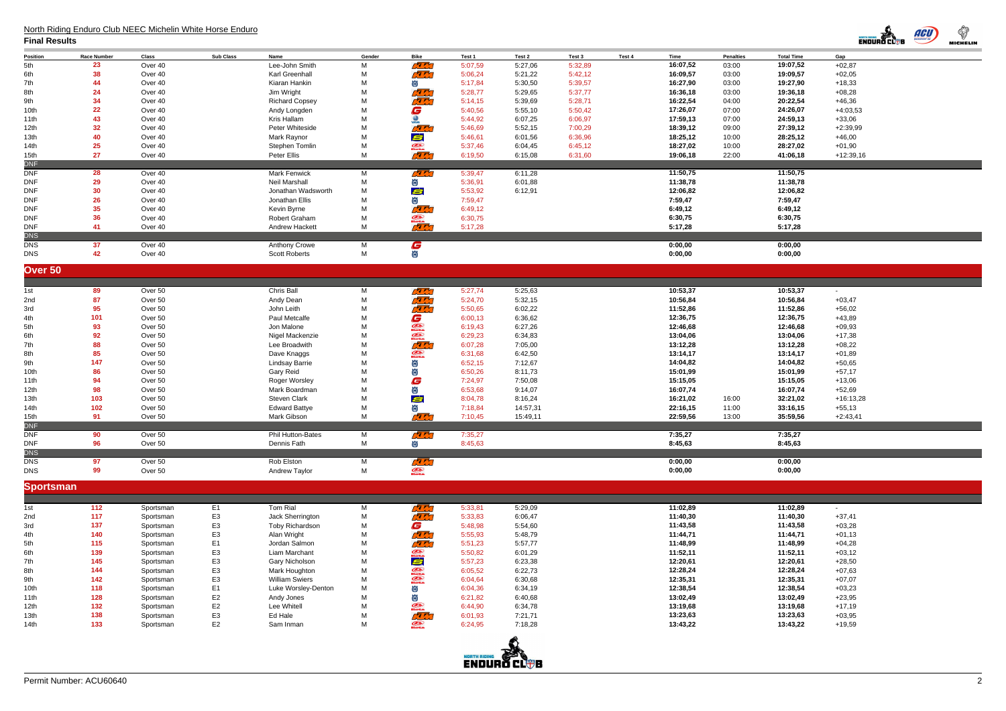| <b>Total Time</b>  | Gap         |
|--------------------|-------------|
| 19:07,52           | $+02,87$    |
| 19:09,57           | $+02,05$    |
| 19:27,90           | +18,33      |
| 19:36,18           | +08,28      |
| 20:22,54           | $+46,36$    |
| 24:26,07           | $+4:03,53$  |
| 24:59,13           | $+33,06$    |
| 27:39,12           | $+2:39,99$  |
| 28:25,12           | $+46,00$    |
| 28:27,02           | $+01,90$    |
| 41:06,18           | $+12:39,16$ |
|                    |             |
| 11:50,75           |             |
| 11:38,78           |             |
| 12:06,82           |             |
| 7:59,47<br>6:49,12 |             |
| 6:30,75            |             |
| 5:17,28            |             |
|                    |             |
| 0:00,00            |             |
| 0:00,00            |             |
|                    |             |
|                    |             |
| 10:53,37           |             |
| 10:56,84           | $+03,47$    |
| 11:52,86           | $+56,02$    |
| 12:36,75           | $+43,89$    |
| 12:46,68           | $+09,93$    |
| 13:04,06           | +17,38      |
| 13:12,28           | $+08,22$    |
| 13:14,17           | $+01,89$    |
| 14:04,82           | +50,65      |
| 15:01,99           | $+57,17$    |
| 15:15,05           | $+13,06$    |
| 16:07,74           | $+52,69$    |
| 32:21,02           | $+16:13,28$ |
| 33:16,15           | $+55,13$    |
| 35:59,56           | $+2:43,41$  |
|                    |             |
| 7:35,27<br>8:45,63 |             |
|                    |             |
| 0:00,00            |             |
| 0:00,00            |             |
|                    |             |
|                    |             |
| 11:02,89           |             |
| 11:40,30           | $+37,41$    |
| 11:43,58           | $+03,28$    |
| 11:44,71           | $+01,13$    |
| 11:48,99           | $+04,28$    |
| 11:52,11           | $+03,12$    |
| 12:20,61           | $+28,50$    |
| 12:28,24           | $+07,63$    |
| 12:35,31           | $+07,07$    |
| 12:38,54           | $+03,23$    |
| 13:02,49           | $+23,95$    |
| 13:19,68           | $+17,19$    |
| 13:23,63           | $+03,95$    |
| 13:43,22           | $+19,59$    |
|                    |             |
|                    |             |

# North Riding Enduro Club NEEC Michelin White Horse Enduro

| Position           | <b>Race Number</b> | Class     | <b>Sub Class</b> | Name                  | Gender | Bike                           | Test 1  | Test 2   | Test 3  | Test 4 | Time     | <b>Penalties</b> | <b>Total Time</b> | Gap         |
|--------------------|--------------------|-----------|------------------|-----------------------|--------|--------------------------------|---------|----------|---------|--------|----------|------------------|-------------------|-------------|
| 5th                | 23                 | Over 40   |                  | Lee-John Smith        | M      | <u>rant</u>                    | 5:07,59 | 5:27,06  | 5:32,89 |        | 16:07,52 | 03:00            | 19:07,52          | $+02,87$    |
| 6th                | 38                 | Over 40   |                  | Karl Greenhall        | M      | <b>REAL</b>                    | 5:06,24 | 5:21,22  | 5:42,12 |        | 16:09,57 | 03:00            | 19:09,57          | $+02,05$    |
| 7th                | 44                 | Over 40   |                  | Kiaran Hankin         | M      | ö                              | 5:17,84 | 5:30,50  | 5:39,57 |        | 16:27,90 | 03:00            | 19:27,90          | $+18,33$    |
| 8th                | 24                 | Over 40   |                  | Jim Wright            | M      | <b>REA</b>                     | 5:28,77 | 5:29,65  | 5:37,77 |        | 16:36,18 | 03:00            | 19:36,18          | $+08,28$    |
| 9th                | 34                 | Over 40   |                  | <b>Richard Copsey</b> | M      | $\pi$                          | 5:14,15 | 5:39,69  | 5:28,71 |        | 16:22,54 | 04:00            | 20:22,54          | $+46,36$    |
| 10th               | 22                 | Over 40   |                  | Andy Longden          | M      | G                              | 5:40,56 | 5:55,10  | 5:50,42 |        | 17:26,07 | 07:00            | 24:26,07          | $+4:03,53$  |
|                    | 43                 | Over 40   |                  | Kris Hallam           | M      | $\bigotimes$                   | 5:44,92 | 6:07,25  | 6:06,97 |        | 17:59,13 | 07:00            | 24:59,13          | $+33,06$    |
| 11th               |                    |           |                  |                       |        |                                |         |          |         |        |          |                  |                   |             |
| 12th               | 32                 | Over 40   |                  | Peter Whiteside       | M      | $\sqrt{2}$                     | 5:46,69 | 5:52,15  | 7:00,29 |        | 18:39,12 | 09:00            | 27:39,12          | $+2:39,99$  |
| 13th               | 40                 | Over 40   |                  | Mark Raynor           | M      | Ś                              | 5:46,61 | 6:01,56  | 6:36,96 |        | 18:25,12 | 10:00            | 28:25,12          | $+46,00$    |
| 14th               | 25                 | Over 40   |                  | Stephen Tomlin        | M      | $\mathcal{Q}$                  | 5:37,46 | 6:04,45  | 6:45,12 |        | 18:27,02 | 10:00            | 28:27,02          | $+01,90$    |
| 15th               | 27                 | Over 40   |                  | Peter Ellis           | М      | <u>rah</u>                     | 6:19,50 | 6:15,08  | 6:31,60 |        | 19:06,18 | 22:00            | 41:06,18          | $+12:39,16$ |
| <b>DNF</b>         |                    |           |                  |                       |        |                                |         |          |         |        |          |                  |                   |             |
| <b>DNF</b>         | 28                 | Over 40   |                  | <b>Mark Fenwick</b>   | M      | ra m                           | 5:39,47 | 6:11,28  |         |        | 11:50,75 |                  | 11:50,75          |             |
| <b>DNF</b>         | 29                 | Over 40   |                  | <b>Neil Marshall</b>  | M      | 尚                              | 5:36,91 | 6:01,88  |         |        | 11:38,78 |                  | 11:38,78          |             |
| <b>DNF</b>         | 30                 | Over 40   |                  | Jonathan Wadsworth    | M      | Ś                              | 5:53,92 | 6:12,91  |         |        | 12:06,82 |                  | 12:06,82          |             |
| <b>DNF</b>         | 26                 | Over 40   |                  | Jonathan Ellis        | M      | ö                              | 7:59,47 |          |         |        | 7:59,47  |                  | 7:59,47           |             |
| <b>DNF</b>         | 35                 | Over 40   |                  | Kevin Byrne           | M      | <b>RE</b>                      | 6:49,12 |          |         |        | 6:49,12  |                  | 6:49,12           |             |
| <b>DNF</b>         | 36                 | Over 40   |                  | Robert Graham         |        |                                | 6:30,75 |          |         |        | 6:30,75  |                  | 6:30,75           |             |
|                    |                    |           |                  |                       | M      | $\mathcal{D}$<br>$\mathcal{F}$ |         |          |         |        |          |                  |                   |             |
| <b>DNF</b>         | 41                 | Over 40   |                  | Andrew Hackett        | M      |                                | 5:17,28 |          |         |        | 5:17,28  |                  | 5:17,28           |             |
| <b>DNS</b>         |                    |           |                  |                       |        |                                |         |          |         |        |          |                  |                   |             |
| <b>DNS</b>         | 37                 | Over 40   |                  | Anthony Crowe         | M      | G                              |         |          |         |        | 0:00,00  |                  | 0:00,00           |             |
| <b>DNS</b>         | 42                 | Over 40   |                  | <b>Scott Roberts</b>  | M      | 尚                              |         |          |         |        | 0:00,00  |                  | 0:00,00           |             |
|                    |                    |           |                  |                       |        |                                |         |          |         |        |          |                  |                   |             |
| Over <sub>50</sub> |                    |           |                  |                       |        |                                |         |          |         |        |          |                  |                   |             |
|                    |                    |           |                  |                       |        |                                |         |          |         |        |          |                  |                   |             |
| 1st                | 89                 | Over 50   |                  | Chris Ball            | M      | <b>REA</b>                     | 5:27,74 | 5:25,63  |         |        | 10:53,37 |                  | 10:53,37          | $\sim$      |
| 2nd                | 87                 | Over 50   |                  | Andy Dean             | M      | <u>ra shi</u>                  | 5:24,70 | 5:32,15  |         |        | 10:56,84 |                  | 10:56,84          | $+03,47$    |
| 3rd                | 95                 | Over 50   |                  | John Leith            | M      | <b>RE</b>                      | 5:50,65 | 6:02,22  |         |        | 11:52,86 |                  | 11:52,86          | $+56,02$    |
| 4th                | 101                | Over 50   |                  | Paul Metcalfe         | M      |                                | 6:00,13 | 6:36,62  |         |        | 12:36,75 |                  | 12:36,75          | $+43,89$    |
| 5th                | 93                 | Over 50   |                  | Jon Malone            | M      | <b>G</b><br>2010               | 6:19,43 | 6:27,26  |         |        | 12:46,68 |                  | 12:46,68          | $+09,93$    |
|                    |                    | Over 50   |                  |                       | M      |                                |         |          |         |        |          |                  |                   |             |
| 6th                | 92                 |           |                  | Nigel Mackenzie       |        |                                | 6:29,23 | 6:34,83  |         |        | 13:04,06 |                  | 13:04,06          | $+17,38$    |
| 7th                | 88                 | Over 50   |                  | Lee Broadwith         | M      |                                | 6:07,28 | 7:05,00  |         |        | 13:12,28 |                  | 13:12,28          | $+08,22$    |
| 8th                | 85                 | Over 50   |                  | Dave Knaggs           | M      | 黑曲                             | 6:31,68 | 6:42,50  |         |        | 13:14,17 |                  | 13:14,17          | $+01,89$    |
| 9th                | 147                | Over 50   |                  | Lindsay Barrie        | М      |                                | 6:52,15 | 7:12,67  |         |        | 14:04,82 |                  | 14:04,82          | $+50,65$    |
| 10th               | 86                 | Over 50   |                  | <b>Gary Reid</b>      | М      | Ö                              | 6:50,26 | 8:11,73  |         |        | 15:01,99 |                  | 15:01,99          | $+57,17$    |
| 11th               | 94                 | Over 50   |                  | Roger Worsley         | M      | G                              | 7:24,97 | 7:50,08  |         |        | 15:15,05 |                  | 15:15,05          | $+13,06$    |
| 12th               | 98                 | Over 50   |                  | Mark Boardman         | M      | 尚                              | 6:53,68 | 9:14,07  |         |        | 16:07,74 |                  | 16:07,74          | $+52,69$    |
| 13th               | 103                | Over 50   |                  | Steven Clark          | M      | Ś                              | 8:04,78 | 8:16,24  |         |        | 16:21,02 | 16:00            | 32:21,02          | $+16:13,28$ |
| 14th               | 102                | Over 50   |                  | <b>Edward Battye</b>  | M      | 尚                              | 7:18,84 | 14:57,31 |         |        | 22:16,15 | 11:00            | 33:16,15          | $+55,13$    |
| 15th               | 91                 | Over 50   |                  | Mark Gibson           | M      | RE                             | 7:10,45 | 15:49,11 |         |        | 22:59,56 | 13:00            | 35:59,56          | $+2:43,41$  |
|                    |                    |           |                  |                       |        |                                |         |          |         |        |          |                  |                   |             |
| DNF<br>DNF         | 90                 | Over 50   |                  | Phil Hutton-Bates     | M      | ra ma                          | 7:35,27 |          |         |        | 7:35,27  |                  | 7:35,27           |             |
|                    | 96                 | Over 50   |                  | Dennis Fath           | M      |                                |         |          |         |        |          |                  |                   |             |
| $\mathsf{DNF}$     |                    |           |                  |                       |        | ö                              | 8:45,63 |          |         |        | 8:45,63  |                  | 8:45,63           |             |
| <b>DNS</b>         |                    |           |                  |                       |        |                                |         |          |         |        |          |                  |                   |             |
| <b>DNS</b>         | 97                 | Over 50   |                  | Rob Elston            | M      | $\frac{1}{\mathcal{L}}$        |         |          |         |        | 0:00,00  |                  | 0:00,00           |             |
| <b>DNS</b>         | 99                 | Over 50   |                  | Andrew Taylor         | M      |                                |         |          |         |        | 0:00,00  |                  | 0:00,00           |             |
| <b>Sportsman</b>   |                    |           |                  |                       |        |                                |         |          |         |        |          |                  |                   |             |
|                    |                    |           |                  |                       |        |                                |         |          |         |        |          |                  |                   |             |
|                    |                    |           |                  |                       |        |                                |         |          |         |        |          |                  |                   |             |
| 1st                | 112                | Sportsman | E <sub>1</sub>   | Tom Rial              | M      | ra do                          | 5:33,81 | 5:29,09  |         |        | 11:02,89 |                  | 11:02,89          |             |
| 2nd                | 117                | Sportsman | E <sub>3</sub>   | Jack Sherrington      | M      | <u>ram</u>                     | 5:33,83 | 6:06,47  |         |        | 11:40,30 |                  | 11:40,30          | $+37,41$    |
| 3rd                | 137                | Sportsman | E3               | Toby Richardson       | M      | G                              | 5:48,98 | 5:54,60  |         |        | 11:43,58 |                  | 11:43,58          | $+03,28$    |
| 4th                | 140                | Sportsman | E3               | Alan Wright           | M      | <b>REA</b>                     | 5:55,93 | 5:48,79  |         |        | 11:44,71 |                  | 11:44,71          | $+01,13$    |
| 5th                | 115                | Sportsman | E1               | Jordan Salmon         | М      | $\mathcal{F}$                  | 5:51,23 | 5:57,77  |         |        | 11:48,99 |                  | 11:48,99          | $+04,28$    |
| 6th                | 139                | Sportsman | E3               | Liam Marchant         | M      |                                | 5:50,82 | 6:01,29  |         |        | 11:52,11 |                  | 11:52,11          | $+03,12$    |
| 7th                | 145                | Sportsman | E3               | Gary Nicholson        | M      | e.                             | 5:57,23 | 6:23,38  |         |        | 12:20,61 |                  | 12:20,61          | $+28,50$    |
|                    |                    |           |                  |                       |        |                                |         |          |         |        |          |                  |                   |             |
| 8th                | 144                | Sportsman | E3               | Mark Houghton         | M      |                                | 6:05,52 | 6:22,73  |         |        | 12:28,24 |                  | 12:28,24          | $+07,63$    |
| 9th                | 142                | Sportsman | E3               | <b>William Swiers</b> | M      | <b>CHA</b>                     | 6:04,64 | 6:30,68  |         |        | 12:35,31 |                  | 12:35,31          | $+07,07$    |
| 10th               | 118                | Sportsman | E1               | Luke Worsley-Denton   | M      |                                | 6:04,36 | 6:34,19  |         |        | 12:38,54 |                  | 12:38,54          | $+03,23$    |
| 11th               | 128                | Sportsman | E <sub>2</sub>   | Andy Jones            | M      | 尚                              | 6:21,82 | 6:40,68  |         |        | 13:02,49 |                  | 13:02,49          | $+23,95$    |
| 12th               | 132                | Sportsman | E2               | Lee Whitell           | M      | $\mathcal{L}$                  | 6:44,90 | 6:34,78  |         |        | 13:19,68 |                  | 13:19,68          | $+17,19$    |
| 13th               | 138                | Sportsman | E3               | Ed Hale               | M      | ra n                           | 6:01,93 | 7:21,71  |         |        | 13:23,63 |                  | 13:23,63          | $+03,95$    |
| 14th               | 133                | Sportsman | E <sub>2</sub>   | Sam Inman             | M      | $\mathcal{Q}$                  | 6:24,95 | 7:18,28  |         |        | 13:43,22 |                  | 13:43,22          | $+19,59$    |
|                    |                    |           |                  |                       |        |                                |         |          |         |        |          |                  |                   |             |
|                    |                    |           |                  |                       |        |                                |         |          |         |        |          |                  |                   |             |



### **Final Results**